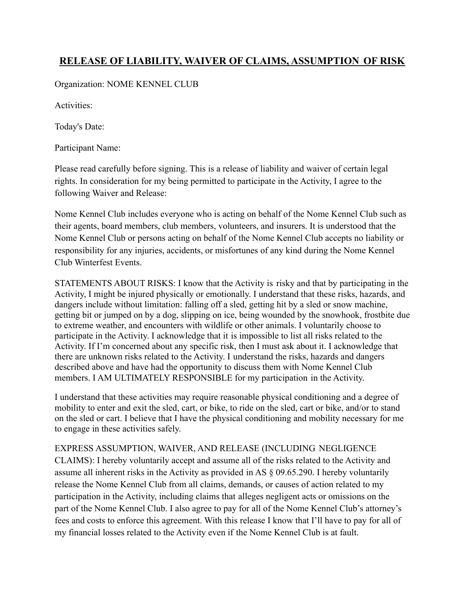## **RELEASE OF LIABILITY, WAIVER OF CLAIMS, ASSUMPTION OF RISK**

Organization: NOME KENNEL CLUB

Activities:

Today's Date:

Participant Name:

Please read carefully before signing. This is a release of liability and waiver of certain legal rights. In consideration for my being permitted to participate in the Activity, I agree to the following Waiver and Release:

Nome Kennel Club includes everyone who is acting on behalf of the Nome Kennel Club such as their agents, board members, club members, volunteers, and insurers. It is understood that the Nome Kennel Club or persons acting on behalf of the Nome Kennel Club accepts no liability or responsibility for any injuries, accidents, or misfortunes of any kind during the Nome Kennel Club Winterfest Events.

STATEMENTS ABOUT RISKS: I know that the Activity is risky and that by participating in the Activity, I might be injured physically or emotionally. I understand that these risks, hazards, and dangers include without limitation: falling off a sled, getting hit by a sled or snow machine, getting bit or jumped on by a dog, slipping on ice, being wounded by the snowhook, frostbite due to extreme weather, and encounters with wildlife or other animals. I voluntarily choose to participate in the Activity. I acknowledge that it is impossible to list all risks related to the Activity. If I'm concerned about any specific risk, then I must ask about it. I acknowledge that there are unknown risks related to the Activity. I understand the risks, hazards and dangers described above and have had the opportunity to discuss them with Nome Kennel Club members. I AM ULTIMATELY RESPONSIBLE for my participation in the Activity.

I understand that these activities may require reasonable physical conditioning and a degree of mobility to enter and exit the sled, cart, or bike, to ride on the sled, cart or bike, and/or to stand on the sled or cart. I believe that I have the physical conditioning and mobility necessary for me to engage in these activities safely.

EXPRESS ASSUMPTION, WAIVER, AND RELEASE (INCLUDING NEGLIGENCE CLAIMS): I hereby voluntarily accept and assume all of the risks related to the Activity and assume all inherent risks in the Activity as provided in AS § 09.65.290. I hereby voluntarily release the Nome Kennel Club from all claims, demands, or causes of action related to my participation in the Activity, including claims that alleges negligent acts or omissions on the part of the Nome Kennel Club. I also agree to pay for all of the Nome Kennel Club's attorney's fees and costs to enforce this agreement. With this release I know that I'll have to pay for all of my financial losses related to the Activity even if the Nome Kennel Club is at fault.